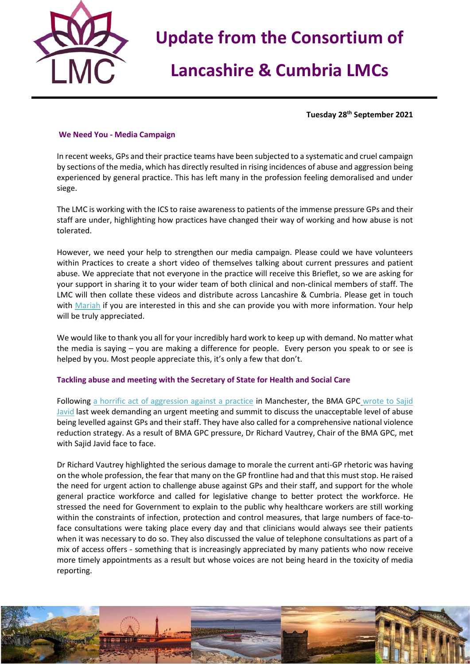

## **Lancashire & Cumbria LMCs**

**Tuesday 28 th September 2021**

## **We Need You - Media Campaign**

In recent weeks, GPs and their practice teams have been subjected to a systematic and cruel campaign by sections of the media, which has directly resulted in rising incidences of abuse and aggression being experienced by general practice. This has left many in the profession feeling demoralised and under siege.

The LMC is working with the ICS to raise awareness to patients of the immense pressure GPs and their staff are under, highlighting how practices have changed their way of working and how abuse is not tolerated.

However, we need your help to strengthen our media campaign. Please could we have volunteers within Practices to create a short video of themselves talking about current pressures and patient abuse. We appreciate that not everyone in the practice will receive this Brieflet, so we are asking for your support in sharing it to your wider team of both clinical and non-clinical members of staff. The LMC will then collate these videos and distribute across Lancashire & Cumbria. Please get in touch with [Mariah](mailto:maria.mulberry@nwlmcs.org) if you are interested in this and she can provide you with more information. Your help will be truly appreciated.

We would like to thank you all for your incredibly hard work to keep up with demand. No matter what the media is saying – you are making a difference for people. Every person you speak to or see is helped by you. Most people appreciate this, it's only a few that don't.

## **Tackling abuse and meeting with the Secretary of State for Health and Social Care**

Following [a horrific act of aggression against a practice](https://www.bma.org.uk/bma-media-centre/bma-calls-for-government-action-to-protect-gps-and-practice-staff-after-horrific-violent-attack-in-manchester-gp-surgery?utm_source=The%20British%20Medical%20Association&utm_medium=email&utm_campaign=12671266_GP%20member%20message&utm_content=Attack%20on%20GPs&dm_t=0,0,0,0,0) in Manchester, the BMA GPC wrote to Sajid [Javid](https://www.bma.org.uk/bma-media-centre/bma-urges-health-secretary-to-act-on-abuse-of-gps) last week demanding an urgent meeting and summit to discuss the unacceptable level of abuse being levelled against GPs and their staff. They have also called for a comprehensive national violence reduction strategy. As a result of BMA GPC pressure, Dr Richard Vautrey, Chair of the BMA GPC, met with Sajid Javid face to face.

Dr Richard Vautrey highlighted the serious damage to morale the current anti-GP rhetoric was having on the whole profession, the fear that many on the GP frontline had and that this must stop. He raised the need for urgent action to challenge abuse against GPs and their staff, and support for the whole general practice workforce and called for legislative change to better protect the workforce. He stressed the need for Government to explain to the public why healthcare workers are still working within the constraints of infection, protection and control measures, that large numbers of face-toface consultations were taking place every day and that clinicians would always see their patients when it was necessary to do so. They also discussed the value of telephone consultations as part of a mix of access offers - something that is increasingly appreciated by many patients who now receive more timely appointments as a result but whose voices are not being heard in the toxicity of media reporting.

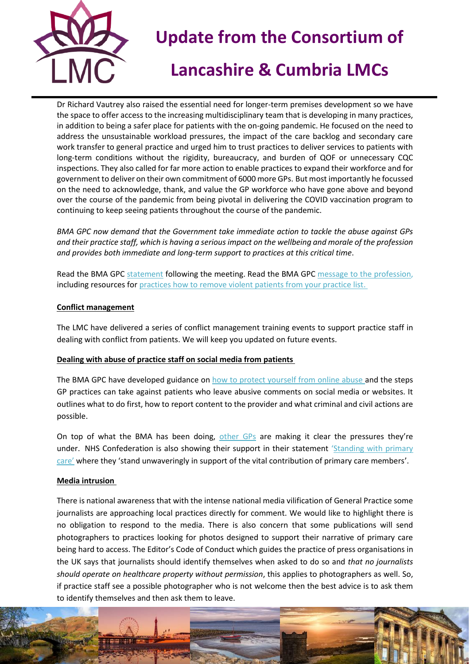

## **Lancashire & Cumbria LMCs**

Dr Richard Vautrey also raised the essential need for longer-term premises development so we have the space to offer access to the increasing multidisciplinary team that is developing in many practices, in addition to being a safer place for patients with the on-going pandemic. He focused on the need to address the unsustainable workload pressures, the impact of the care backlog and secondary care work transfer to general practice and urged him to trust practices to deliver services to patients with long-term conditions without the rigidity, bureaucracy, and burden of QOF or unnecessary CQC inspections. They also called for far more action to enable practices to expand their workforce and for government to deliver on their own commitment of 6000 more GPs. But most importantly he focussed on the need to acknowledge, thank, and value the GP workforce who have gone above and beyond over the course of the pandemic from being pivotal in delivering the COVID vaccination program to continuing to keep seeing patients throughout the course of the pandemic.

*BMA GPC now demand that the Government take immediate action to tackle the abuse against GPs and their practice staff, which is having a serious impact on the wellbeing and morale of the profession and provides both immediate and long-term support to practices at this critical time*.

Read the BMA GPC [statement](https://www.bma.org.uk/bma-media-centre/bma-and-secretary-of-state-for-health-discuss-abuse-crisis-in-the-nhs-and-urgent-need-for-reduction-in-bureaucracy-for-gps) following the meeting. Read the BMA GPC [message to the profession,](https://bma-mail.org.uk/t/JVX-7JL7M-EC5E0CEA0D8A5317JCJOU4BA186991484320BE/cr.aspx) including resources fo[r practices how to remove violent patients from your practice list.](https://www.bma.org.uk/advice-and-support/gp-practices/managing-your-practice-list/removing-violent-patients-and-the-special-allocation-scheme)

## **Conflict management**

The LMC have delivered a series of conflict management training events to support practice staff in dealing with conflict from patients. We will keep you updated on future events.

## **Dealing with abuse of practice staff on social media from patients**

The BMA GPC have developed guidance on [how to protect yourself from online abuse](https://www.bma.org.uk/advice-and-support/gp-practices/complaints-in-primary-care/dealing-with-abuse-of-practice-staff-on-social-media-from-patients) and the steps GP practices can take against patients who leave abusive comments on social media or websites. It outlines what to do first, how to report content to the provider and what criminal and civil actions are possible.

On top of what the BMA has been doing, [other GPs](https://www.youtube.com/watch?app=desktop&v=D0apFJsgXRE&feature=youtu.be) are making it clear the pressures they're under. NHS Confederation is also showing their support in their statement 'Standing with primary [care'](https://www.nhsconfed.org/news/standing-primary-care) where they 'stand unwaveringly in support of the vital contribution of primary care members'.

#### **Media intrusion**

There is national awareness that with the intense national media vilification of General Practice some journalists are approaching local practices directly for comment. We would like to highlight there is no obligation to respond to the media. There is also concern that some publications will send photographers to practices looking for photos designed to support their narrative of primary care being hard to access. The Editor's Code of Conduct which guides the practice of press organisations in the UK says that journalists should identify themselves when asked to do so and *that no journalists should operate on healthcare property without permission*, this applies to photographers as well. So, if practice staff see a possible photographer who is not welcome then the best advice is to ask them to identify themselves and then ask them to leave.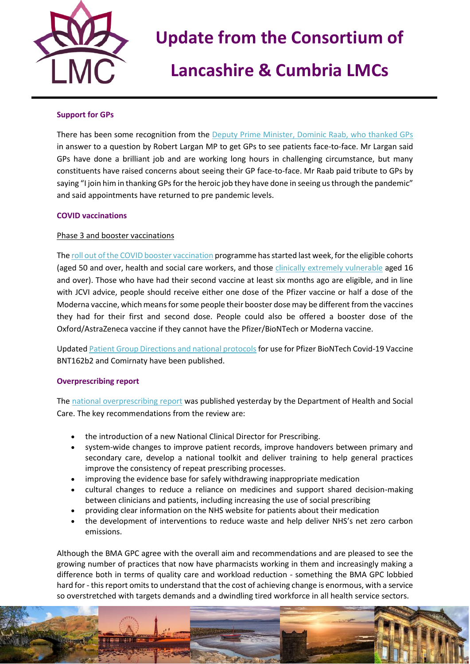

## **Lancashire & Cumbria LMCs**

### **Support for GPs**

There has been some recognition from the [Deputy Prime Minister, Dominic Raab, who thanked GPs](https://hansard.parliament.uk/commons/2021-09-22/debates/E8AF92CD-AC86-4094-AB13-82CC352C2402/Engagements#contribution-AD21A5F2-D246-4FAE-9265-D4C6A89F56DA) in answer to a question by Robert Largan MP to get GPs to see patients face-to-face. Mr Largan said GPs have done a brilliant job and are working long hours in challenging circumstance, but many constituents have raised concerns about seeing their GP face-to-face. Mr Raab paid tribute to GPs by saying "I join him in thanking GPs for the heroic job they have done in seeing us through the pandemic" and said appointments have returned to pre pandemic levels.

### **COVID vaccinations**

### Phase 3 and booster vaccinations

Th[e roll out of the COVID booster vaccination](https://www.england.nhs.uk/2021/09/over-one-million-invited-for-covid-booster-jabs-this-week/) programme has started last week, for the eligible cohorts (aged 50 and over, health and social care workers, and those [clinically extremely vulnerable](https://www.nhs.uk/conditions/coronavirus-covid-19/people-at-higher-risk/who-is-at-high-risk-from-coronavirus-clinically-extremely-vulnerable/) aged 16 and over). Those who have had their second vaccine at least six months ago are eligible, and in line with JCVI advice, people should receive either one dose of the Pfizer vaccine or half a dose of the Moderna vaccine, which means for some people their booster dose may be different from the vaccines they had for their first and second dose. People could also be offered a booster dose of the Oxford/AstraZeneca vaccine if they cannot have the Pfizer/BioNTech or Moderna vaccine.

Updated [Patient Group Directions and national protocols](https://www.gov.uk/government/collections/covid-19-vaccination-programme#protocols-and-patient-group-directions-(pgds)) for use for Pfizer BioNTech Covid-19 Vaccine BNT162b2 and Comirnaty have been published.

#### **Overprescribing report**

The [national overprescribing report](https://www.gov.uk/government/publications/national-overprescribing-review-report) was published yesterday by the Department of Health and Social Care. The key recommendations from the review are:

- the introduction of a new National Clinical Director for Prescribing.
- system-wide changes to improve patient records, improve handovers between primary and secondary care, develop a national toolkit and deliver training to help general practices improve the consistency of repeat prescribing processes.
- improving the evidence base for safely withdrawing inappropriate medication
- cultural changes to reduce a reliance on medicines and support shared decision-making between clinicians and patients, including increasing the use of social prescribing
- providing clear information on the NHS website for patients about their medication
- the development of interventions to reduce waste and help deliver NHS's net zero carbon emissions.

Although the BMA GPC agree with the overall aim and recommendations and are pleased to see the growing number of practices that now have pharmacists working in them and increasingly making a difference both in terms of quality care and workload reduction - something the BMA GPC lobbied hard for - this report omits to understand that the cost of achieving change is enormous, with a service so overstretched with targets demands and a dwindling tired workforce in all health service sectors.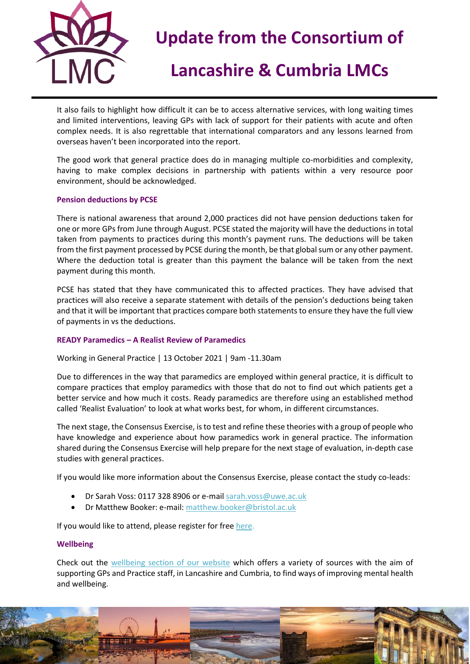

## **Lancashire & Cumbria LMCs**

It also fails to highlight how difficult it can be to access alternative services, with long waiting times and limited interventions, leaving GPs with lack of support for their patients with acute and often complex needs. It is also regrettable that international comparators and any lessons learned from overseas haven't been incorporated into the report.

The good work that general practice does do in managing multiple co-morbidities and complexity, having to make complex decisions in partnership with patients within a very resource poor environment, should be acknowledged.

### **Pension deductions by PCSE**

There is national awareness that around 2,000 practices did not have pension deductions taken for one or more GPs from June through August. PCSE stated the majority will have the deductions in total taken from payments to practices during this month's payment runs. The deductions will be taken from the first payment processed by PCSE during the month, be that global sum or any other payment. Where the deduction total is greater than this payment the balance will be taken from the next payment during this month.

PCSE has stated that they have communicated this to affected practices. They have advised that practices will also receive a separate statement with details of the pension's deductions being taken and that it will be important that practices compare both statements to ensure they have the full view of payments in vs the deductions.

## **READY Paramedics – A Realist Review of Paramedics**

Working in General Practice | 13 October 2021 | 9am -11.30am

Due to differences in the way that paramedics are employed within general practice, it is difficult to compare practices that employ paramedics with those that do not to find out which patients get a better service and how much it costs. Ready paramedics are therefore using an established method called 'Realist Evaluation' to look at what works best, for whom, in different circumstances.

The next stage, the Consensus Exercise, is to test and refine these theories with a group of people who have knowledge and experience about how paramedics work in general practice. The information shared during the Consensus Exercise will help prepare for the next stage of evaluation, in-depth case studies with general practices.

If you would like more information about the Consensus Exercise, please contact the study co-leads:

- Dr Sarah Voss: 0117 328 8906 or e-mai[l sarah.voss@uwe.ac.uk](mailto:sarah.voss@uwe.ac.uk)
- Dr Matthew Booker: e-mail[: matthew.booker@bristol.ac.uk](mailto:matthew.booker@bristol.ac.uk)

If you would like to attend, please register for free [here.](https://www.eventbrite.co.uk/e/175584236177)

#### **Wellbeing**

Check out the [wellbeing section of our website](https://nwlmcs.org/wellbeing) which offers a variety of sources with the aim of supporting GPs and Practice staff, in Lancashire and Cumbria, to find ways of improving mental health and wellbeing.